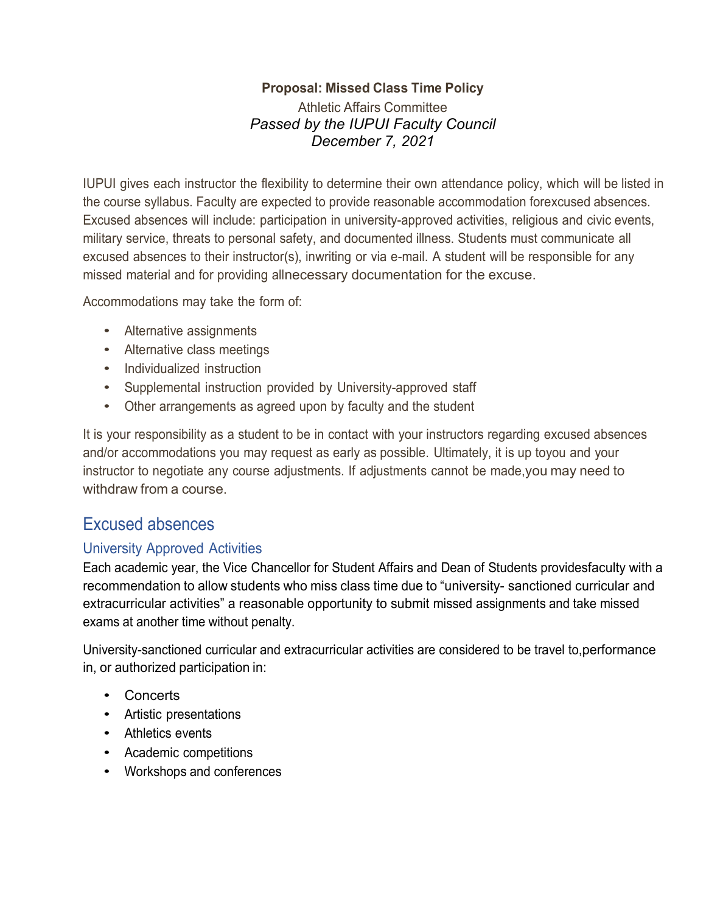# **Proposal: Missed Class Time Policy**

Athletic Affairs Committee *Passed by the IUPUI Faculty Council December 7, 2021*

IUPUI gives each instructor the flexibility to determine their own attendance policy, which will be listed in the course syllabus. Faculty are expected to provide reasonable accommodation forexcused absences. Excused absences will include: participation in university-approved activities, religious and civic events, military service, threats to personal safety, and documented illness. Students must communicate all excused absences to their instructor(s), inwriting or via e-mail. A student will be responsible for any missed material and for providing allnecessary documentation for the excuse.

Accommodations may take the form of:

- Alternative assignments
- Alternative class meetings
- Individualized instruction
- Supplemental instruction provided by University-approved staff
- Other arrangements as agreed upon by faculty and the student

It is your responsibility as a student to be in contact with your instructors regarding excused absences and/or accommodations you may request as early as possible. Ultimately, it is up toyou and your instructor to negotiate any course adjustments. If adjustments cannot be made,you may need to withdraw from a course.

# Excused absences

#### University Approved Activities

Each academic year, the Vice Chancellor for Student Affairs and Dean of Students providesfaculty with a recommendation to allow students who miss class time due to "university- sanctioned curricular and extracurricular activities" a reasonable opportunity to submit missed assignments and take missed exams at another time without penalty.

University-sanctioned curricular and extracurricular activities are considered to be travel to,performance in, or authorized participation in:

- Concerts
- Artistic presentations
- Athletics events
- Academic competitions
- Workshops and conferences